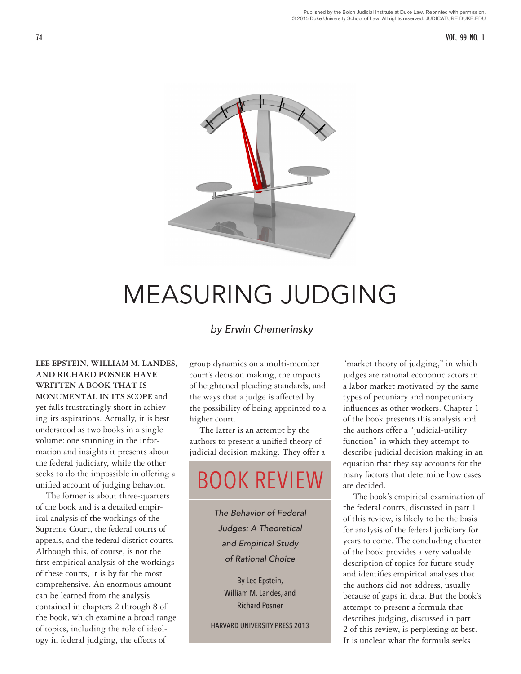#### 74 VOL. 99 NO. 1



# MEASURING JUDGING

# *by Erwin Chemerinsky*

**LEE EPSTEIN, WILLIAM M. LANDES, AND RICHARD POSNER HAVE WRITTEN A BOOK THAT IS MONUMENTAL IN ITS SCOPE** and yet falls frustratingly short in achieving its aspirations. Actually, it is best understood as two books in a single volume: one stunning in the information and insights it presents about the federal judiciary, while the other seeks to do the impossible in offering a unified account of judging behavior.

The former is about three-quarters of the book and is a detailed empirical analysis of the workings of the Supreme Court, the federal courts of appeals, and the federal district courts. Although this, of course, is not the first empirical analysis of the workings of these courts, it is by far the most comprehensive. An enormous amount can be learned from the analysis contained in chapters 2 through 8 of the book, which examine a broad range of topics, including the role of ideology in federal judging, the effects of

group dynamics on a multi-member court's decision making, the impacts of heightened pleading standards, and the ways that a judge is affected by the possibility of being appointed to a higher court.

The latter is an attempt by the authors to present a unified theory of judicial decision making. They offer a

# BOOK REVIEW

*The Behavior of Federal Judges: A Theoretical and Empirical Study of Rational Choice*

By Lee Epstein, William M. Landes, and Richard Posner

HARVARD UNIVERSITY PRESS 2013

"market theory of judging," in which judges are rational economic actors in a labor market motivated by the same types of pecuniary and nonpecuniary influences as other workers. Chapter 1 of the book presents this analysis and the authors offer a "judicial-utility function" in which they attempt to describe judicial decision making in an equation that they say accounts for the many factors that determine how cases are decided.

The book's empirical examination of the federal courts, discussed in part 1 of this review, is likely to be the basis for analysis of the federal judiciary for years to come. The concluding chapter of the book provides a very valuable description of topics for future study and identifies empirical analyses that the authors did not address, usually because of gaps in data. But the book's attempt to present a formula that describes judging, discussed in part 2 of this review, is perplexing at best. It is unclear what the formula seeks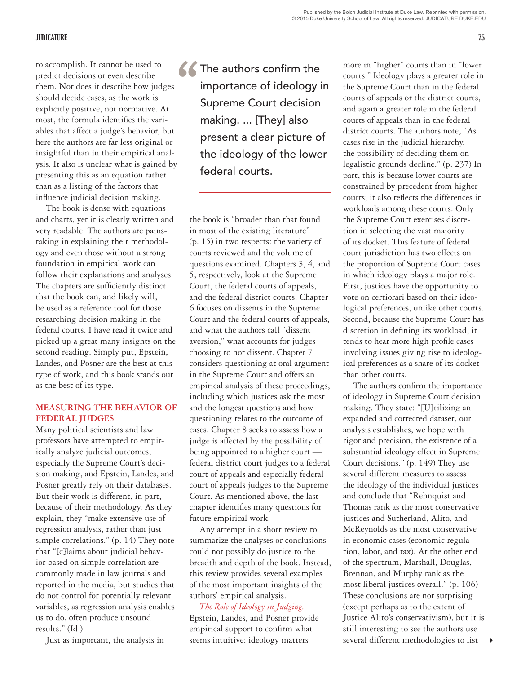## JUDICATURE 75

to accomplish. It cannot be used to<br>
predict decisions or even describe<br>
them. Nor does it describe how judges<br>
should decide cases, as the work is<br>
explicitly positive, not normative. At<br>
mean the femula identifies the wr predict decisions or even describe them. Nor does it describe how judges should decide cases, as the work is most, the formula identifies the variables that affect a judge's behavior, but here the authors are far less original or insightful than in their empirical analysis. It also is unclear what is gained by presenting this as an equation rather than as a listing of the factors that influence judicial decision making.

The book is dense with equations and charts, yet it is clearly written and very readable. The authors are painstaking in explaining their methodology and even those without a strong foundation in empirical work can follow their explanations and analyses. The chapters are sufficiently distinct that the book can, and likely will, be used as a reference tool for those researching decision making in the federal courts. I have read it twice and picked up a great many insights on the second reading. Simply put, Epstein, Landes, and Posner are the best at this type of work, and this book stands out as the best of its type.

# **MEASURING THE BEHAVIOR OF FEDERAL JUDGES**

Many political scientists and law professors have attempted to empirically analyze judicial outcomes, especially the Supreme Court's decision making, and Epstein, Landes, and Posner greatly rely on their databases. But their work is different, in part, because of their methodology. As they explain, they "make extensive use of regression analysis, rather than just simple correlations." (p. 14) They note that "[c]laims about judicial behavior based on simple correlation are commonly made in law journals and reported in the media, but studies that do not control for potentially relevant variables, as regression analysis enables us to do, often produce unsound results." (Id.)

Just as important, the analysis in

**The authors confirm the** importance of ideology in Supreme Court decision making. ... [They] also present a clear picture of the ideology of the lower federal courts.

the book is "broader than that found in most of the existing literature" (p. 15) in two respects: the variety of courts reviewed and the volume of questions examined. Chapters 3, 4, and 5, respectively, look at the Supreme Court, the federal courts of appeals, and the federal district courts. Chapter 6 focuses on dissents in the Supreme Court and the federal courts of appeals, and what the authors call "dissent aversion," what accounts for judges choosing to not dissent. Chapter 7 considers questioning at oral argument in the Supreme Court and offers an empirical analysis of these proceedings, including which justices ask the most and the longest questions and how questioning relates to the outcome of cases. Chapter 8 seeks to assess how a judge is affected by the possibility of being appointed to a higher court federal district court judges to a federal court of appeals and especially federal court of appeals judges to the Supreme Court. As mentioned above, the last chapter identifies many questions for future empirical work.

Any attempt in a short review to summarize the analyses or conclusions could not possibly do justice to the breadth and depth of the book. Instead, this review provides several examples of the most important insights of the authors' empirical analysis.

*The Role of Ideology in Judging.*  Epstein, Landes, and Posner provide empirical support to confirm what seems intuitive: ideology matters

more in "higher" courts than in "lower courts." Ideology plays a greater role in the Supreme Court than in the federal courts of appeals or the district courts, and again a greater role in the federal courts of appeals than in the federal district courts. The authors note, "As cases rise in the judicial hierarchy, the possibility of deciding them on legalistic grounds decline." (p. 237) In part, this is because lower courts are constrained by precedent from higher courts; it also reflects the differences in workloads among these courts. Only the Supreme Court exercises discretion in selecting the vast majority of its docket. This feature of federal court jurisdiction has two effects on the proportion of Supreme Court cases in which ideology plays a major role. First, justices have the opportunity to vote on certiorari based on their ideological preferences, unlike other courts. Second, because the Supreme Court has discretion in defining its workload, it tends to hear more high profile cases involving issues giving rise to ideological preferences as a share of its docket than other courts.

The authors confirm the importance of ideology in Supreme Court decision making. They state: "[U]tilizing an expanded and corrected dataset, our analysis establishes, we hope with rigor and precision, the existence of a substantial ideology effect in Supreme Court decisions." (p. 149) They use several different measures to assess the ideology of the individual justices and conclude that "Rehnquist and Thomas rank as the most conservative justices and Sutherland, Alito, and McReynolds as the most conservative in economic cases (economic regulation, labor, and tax). At the other end of the spectrum, Marshall, Douglas, Brennan, and Murphy rank as the most liberal justices overall." (p. 106) These conclusions are not surprising (except perhaps as to the extent of Justice Alito's conservativism), but it is still interesting to see the authors use several different methodologies to list

 $\blacktriangleright$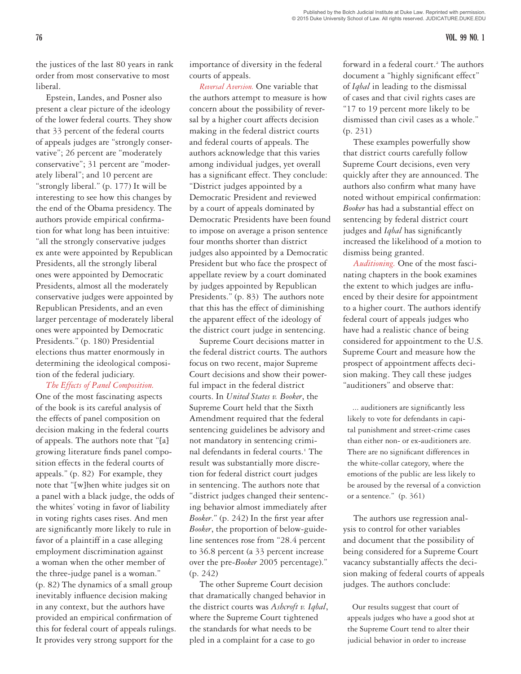#### 76 VOL. 99 NO. 1

the justices of the last 80 years in rank order from most conservative to most liberal.

Epstein, Landes, and Posner also present a clear picture of the ideology of the lower federal courts. They show that 33 percent of the federal courts of appeals judges are "strongly conservative"; 26 percent are "moderately conservative"; 31 percent are "moderately liberal"; and 10 percent are "strongly liberal." (p. 177) It will be interesting to see how this changes by the end of the Obama presidency. The authors provide empirical confirmation for what long has been intuitive: "all the strongly conservative judges ex ante were appointed by Republican Presidents, all the strongly liberal ones were appointed by Democratic Presidents, almost all the moderately conservative judges were appointed by Republican Presidents, and an even larger percentage of moderately liberal ones were appointed by Democratic Presidents." (p. 180) Presidential elections thus matter enormously in determining the ideological composition of the federal judiciary.

*The Effects of Panel Composition.*  One of the most fascinating aspects of the book is its careful analysis of the effects of panel composition on decision making in the federal courts of appeals. The authors note that "[a] growing literature finds panel composition effects in the federal courts of appeals." (p. 82) For example, they note that "[w]hen white judges sit on a panel with a black judge, the odds of the whites' voting in favor of liability in voting rights cases rises. And men are significantly more likely to rule in favor of a plaintiff in a case alleging employment discrimination against a woman when the other member of the three-judge panel is a woman." (p. 82) The dynamics of a small group inevitably influence decision making in any context, but the authors have provided an empirical confirmation of this for federal court of appeals rulings. It provides very strong support for the

importance of diversity in the federal courts of appeals.

*Reversal Aversion.* One variable that the authors attempt to measure is how concern about the possibility of reversal by a higher court affects decision making in the federal district courts and federal courts of appeals. The authors acknowledge that this varies among individual judges, yet overall has a significant effect. They conclude: "District judges appointed by a Democratic President and reviewed by a court of appeals dominated by Democratic Presidents have been found to impose on average a prison sentence four months shorter than district judges also appointed by a Democratic President but who face the prospect of appellate review by a court dominated by judges appointed by Republican Presidents." (p. 83) The authors note that this has the effect of diminishing the apparent effect of the ideology of the district court judge in sentencing.

Supreme Court decisions matter in the federal district courts. The authors focus on two recent, major Supreme Court decisions and show their powerful impact in the federal district courts. In *United States v. Booker*, the Supreme Court held that the Sixth Amendment required that the federal sentencing guidelines be advisory and not mandatory in sentencing criminal defendants in federal courts.<sup>1</sup> The result was substantially more discretion for federal district court judges in sentencing. The authors note that "district judges changed their sentencing behavior almost immediately after *Booker*." (p. 242) In the first year after *Booker*, the proportion of below-guideline sentences rose from "28.4 percent to 36.8 percent (a 33 percent increase over the pre-*Booker* 2005 percentage)." (p. 242)

The other Supreme Court decision that dramatically changed behavior in the district courts was *Ashcroft v. Iqbal*, where the Supreme Court tightened the standards for what needs to be pled in a complaint for a case to go

forward in a federal court.<sup>2</sup> The authors document a "highly significant effect" of *Iqbal* in leading to the dismissal of cases and that civil rights cases are "17 to 19 percent more likely to be dismissed than civil cases as a whole." (p. 231)

These examples powerfully show that district courts carefully follow Supreme Court decisions, even very quickly after they are announced. The authors also confirm what many have noted without empirical confirmation: *Booker* has had a substantial effect on sentencing by federal district court judges and *Iqbal* has significantly increased the likelihood of a motion to dismiss being granted.

*Auditioning.* One of the most fascinating chapters in the book examines the extent to which judges are influenced by their desire for appointment to a higher court. The authors identify federal court of appeals judges who have had a realistic chance of being considered for appointment to the U.S. Supreme Court and measure how the prospect of appointment affects decision making. They call these judges "auditioners" and observe that:

... auditioners are significantly less likely to vote for defendants in capital punishment and street-crime cases than either non- or ex-auditioners are. There are no significant differences in the white-collar category, where the emotions of the public are less likely to be aroused by the reversal of a conviction or a sentence." (p. 361)

The authors use regression analysis to control for other variables and document that the possibility of being considered for a Supreme Court vacancy substantially affects the decision making of federal courts of appeals judges. The authors conclude:

Our results suggest that court of appeals judges who have a good shot at the Supreme Court tend to alter their judicial behavior in order to increase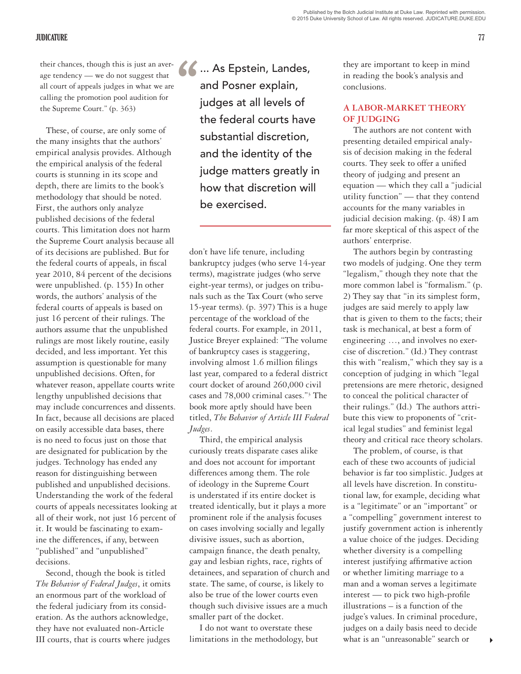## JUDICATURE 77

their chances, though this is just an average tendency — we do not suggest that all court of appeals judges in what we are calling the promotion pool audition for the Supreme Court." (p. 363)

These, of course, are only some of the many insights that the authors' empirical analysis provides. Although the empirical analysis of the federal courts is stunning in its scope and depth, there are limits to the book's methodology that should be noted. First, the authors only analyze published decisions of the federal courts. This limitation does not harm the Supreme Court analysis because all of its decisions are published. But for the federal courts of appeals, in fiscal year 2010, 84 percent of the decisions were unpublished. (p. 155) In other words, the authors' analysis of the federal courts of appeals is based on just 16 percent of their rulings. The authors assume that the unpublished rulings are most likely routine, easily decided, and less important. Yet this assumption is questionable for many unpublished decisions. Often, for whatever reason, appellate courts write lengthy unpublished decisions that may include concurrences and dissents. In fact, because all decisions are placed on easily accessible data bases, there is no need to focus just on those that are designated for publication by the judges. Technology has ended any reason for distinguishing between published and unpublished decisions. Understanding the work of the federal courts of appeals necessitates looking at all of their work, not just 16 percent of it. It would be fascinating to examine the differences, if any, between "published" and "unpublished" decisions.

Second, though the book is titled *The Behavior of Federal Judges*, it omits an enormous part of the workload of the federal judiciary from its consideration. As the authors acknowledge, they have not evaluated non-Article III courts, that is courts where judges

1. As Epstein, Landes,<br>
and Posner explain,<br>
judges at all levels of and Posner explain, judges at all levels of the federal courts have substantial discretion, and the identity of the judge matters greatly in how that discretion will be exercised.

don't have life tenure, including bankruptcy judges (who serve 14-year terms), magistrate judges (who serve eight-year terms), or judges on tribunals such as the Tax Court (who serve 15-year terms). (p. 397) This is a huge percentage of the workload of the federal courts. For example, in 2011, Justice Breyer explained: "The volume of bankruptcy cases is staggering, involving almost 1.6 million filings last year, compared to a federal district court docket of around 260,000 civil cases and 78,000 criminal cases."3 The book more aptly should have been titled, *The Behavior of Article III Federal Judges*.

Third, the empirical analysis curiously treats disparate cases alike and does not account for important differences among them. The role of ideology in the Supreme Court is understated if its entire docket is treated identically, but it plays a more prominent role if the analysis focuses on cases involving socially and legally divisive issues, such as abortion, campaign finance, the death penalty, gay and lesbian rights, race, rights of detainees, and separation of church and state. The same, of course, is likely to also be true of the lower courts even though such divisive issues are a much smaller part of the docket.

I do not want to overstate these limitations in the methodology, but

they are important to keep in mind in reading the book's analysis and conclusions.

# **A LABOR-MARKET THEORY OF JUDGING**

The authors are not content with presenting detailed empirical analysis of decision making in the federal courts. They seek to offer a unified theory of judging and present an equation — which they call a "judicial utility function" — that they contend accounts for the many variables in judicial decision making. (p. 48) I am far more skeptical of this aspect of the authors' enterprise.

The authors begin by contrasting two models of judging. One they term "legalism," though they note that the more common label is "formalism." (p. 2) They say that "in its simplest form, judges are said merely to apply law that is given to them to the facts; their task is mechanical, at best a form of engineering …, and involves no exercise of discretion." (Id.) They contrast this with "realism," which they say is a conception of judging in which "legal pretensions are mere rhetoric, designed to conceal the political character of their rulings." (Id.) The authors attribute this view to proponents of "critical legal studies" and feminist legal theory and critical race theory scholars.

The problem, of course, is that each of these two accounts of judicial behavior is far too simplistic. Judges at all levels have discretion. In constitutional law, for example, deciding what is a "legitimate" or an "important" or a "compelling" government interest to justify government action is inherently a value choice of the judges. Deciding whether diversity is a compelling interest justifying affirmative action or whether limiting marriage to a man and a woman serves a legitimate interest — to pick two high-profile illustrations – is a function of the judge's values. In criminal procedure, judges on a daily basis need to decide what is an "unreasonable" search or

4